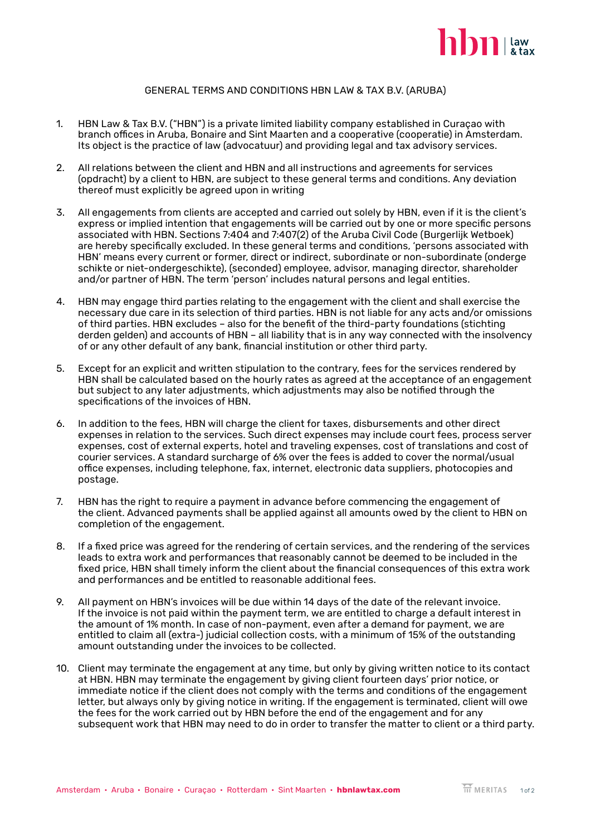

## GENERAL TERMS AND CONDITIONS HBN LAW & TAX B.V. (ARUBA)

- 1. HBN Law & Tax B.V. ("HBN") is a private limited liability company established in Curaçao with branch offices in Aruba, Bonaire and Sint Maarten and a cooperative (cooperatie) in Amsterdam. Its object is the practice of law (advocatuur) and providing legal and tax advisory services.
- 2. All relations between the client and HBN and all instructions and agreements for services (opdracht) by a client to HBN, are subject to these general terms and conditions. Any deviation thereof must explicitly be agreed upon in writing
- 3. All engagements from clients are accepted and carried out solely by HBN, even if it is the client's express or implied intention that engagements will be carried out by one or more specific persons associated with HBN. Sections 7:404 and 7:407(2) of the Aruba Civil Code (Burgerlijk Wetboek) are hereby specifically excluded. In these general terms and conditions, 'persons associated with HBN' means every current or former, direct or indirect, subordinate or non-subordinate (onderge schikte or niet-ondergeschikte), (seconded) employee, advisor, managing director, shareholder and/or partner of HBN. The term 'person' includes natural persons and legal entities.
- 4. HBN may engage third parties relating to the engagement with the client and shall exercise the necessary due care in its selection of third parties. HBN is not liable for any acts and/or omissions of third parties. HBN excludes – also for the benefit of the third-party foundations (stichting derden gelden) and accounts of HBN – all liability that is in any way connected with the insolvency of or any other default of any bank, financial institution or other third party.
- 5. Except for an explicit and written stipulation to the contrary, fees for the services rendered by HBN shall be calculated based on the hourly rates as agreed at the acceptance of an engagement but subject to any later adjustments, which adjustments may also be notified through the specifications of the invoices of HBN.
- 6. In addition to the fees, HBN will charge the client for taxes, disbursements and other direct expenses in relation to the services. Such direct expenses may include court fees, process server expenses, cost of external experts, hotel and traveling expenses, cost of translations and cost of courier services. A standard surcharge of 6% over the fees is added to cover the normal/usual office expenses, including telephone, fax, internet, electronic data suppliers, photocopies and postage.
- 7. HBN has the right to require a payment in advance before commencing the engagement of the client. Advanced payments shall be applied against all amounts owed by the client to HBN on completion of the engagement.
- 8. If a fixed price was agreed for the rendering of certain services, and the rendering of the services leads to extra work and performances that reasonably cannot be deemed to be included in the fixed price, HBN shall timely inform the client about the financial consequences of this extra work and performances and be entitled to reasonable additional fees.
- 9. All payment on HBN's invoices will be due within 14 days of the date of the relevant invoice. If the invoice is not paid within the payment term, we are entitled to charge a default interest in the amount of 1% month. In case of non-payment, even after a demand for payment, we are entitled to claim all (extra-) judicial collection costs, with a minimum of 15% of the outstanding amount outstanding under the invoices to be collected.
- 10. Client may terminate the engagement at any time, but only by giving written notice to its contact at HBN. HBN may terminate the engagement by giving client fourteen days' prior notice, or immediate notice if the client does not comply with the terms and conditions of the engagement letter, but always only by giving notice in writing. If the engagement is terminated, client will owe the fees for the work carried out by HBN before the end of the engagement and for any subsequent work that HBN may need to do in order to transfer the matter to client or a third party.